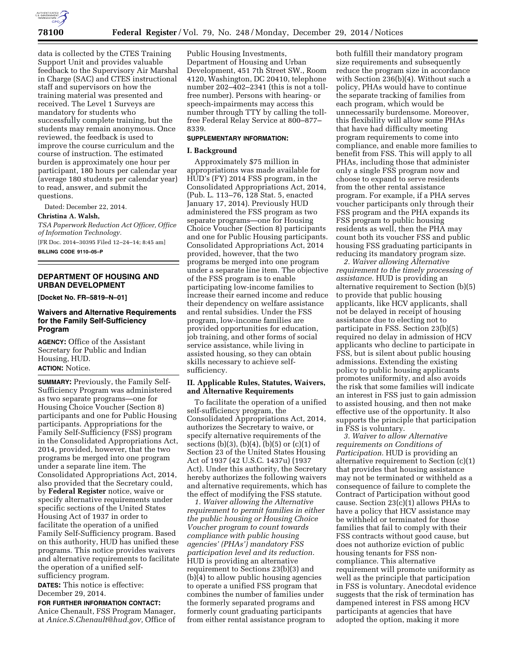

data is collected by the CTES Training Support Unit and provides valuable feedback to the Supervisory Air Marshal in Charge (SAC) and CTES instructional staff and supervisors on how the training material was presented and received. The Level 1 Surveys are mandatory for students who successfully complete training, but the students may remain anonymous. Once reviewed, the feedback is used to improve the course curriculum and the course of instruction. The estimated burden is approximately one hour per participant, 180 hours per calendar year (average 180 students per calendar year) to read, answer, and submit the questions.

Dated: December 22, 2014.

#### **Christina A. Walsh,**

*TSA Paperwork Reduction Act Officer, Office of Information Technology.*  [FR Doc. 2014–30395 Filed 12–24–14; 8:45 am]

**BILLING CODE 9110–05–P** 

## **DEPARTMENT OF HOUSING AND URBAN DEVELOPMENT**

**[Docket No. FR–5819–N–01]** 

## **Waivers and Alternative Requirements for the Family Self-Sufficiency Program**

**AGENCY:** Office of the Assistant Secretary for Public and Indian Housing, HUD. **ACTION:** Notice.

**SUMMARY:** Previously, the Family Self-Sufficiency Program was administered as two separate programs—one for Housing Choice Voucher (Section 8) participants and one for Public Housing participants. Appropriations for the Family Self-Sufficiency (FSS) program in the Consolidated Appropriations Act, 2014, provided, however, that the two programs be merged into one program under a separate line item. The Consolidated Appropriations Act, 2014, also provided that the Secretary could, by **Federal Register** notice, waive or specify alternative requirements under specific sections of the United States Housing Act of 1937 in order to facilitate the operation of a unified Family Self-Sufficiency program. Based on this authority, HUD has unified these programs. This notice provides waivers and alternative requirements to facilitate the operation of a unified selfsufficiency program.

**DATES:** This notice is effective: December 29, 2014.

**FOR FURTHER INFORMATION CONTACT:**  Anice Chenault, FSS Program Manager, at *[Anice.S.Chenault@hud.gov,](mailto:Anice.S.Chenault@hud.gov)* Office of Public Housing Investments, Department of Housing and Urban Development, 451 7th Street SW., Room 4120, Washington, DC 20410, telephone number 202–402–2341 (this is not a tollfree number). Persons with hearing- or speech-impairments may access this number through TTY by calling the tollfree Federal Relay Service at 800–877– 8339.

## **SUPPLEMENTARY INFORMATION:**

### **I. Background**

Approximately \$75 million in appropriations was made available for HUD's (FY) 2014 FSS program, in the Consolidated Appropriations Act, 2014, (Pub. L. 113–76, 128 Stat. 5, enacted January 17, 2014). Previously HUD administered the FSS program as two separate programs—one for Housing Choice Voucher (Section 8) participants and one for Public Housing participants. Consolidated Appropriations Act, 2014 provided, however, that the two programs be merged into one program under a separate line item. The objective of the FSS program is to enable participating low-income families to increase their earned income and reduce their dependency on welfare assistance and rental subsidies. Under the FSS program, low-income families are provided opportunities for education, job training, and other forms of social service assistance, while living in assisted housing, so they can obtain skills necessary to achieve selfsufficiency.

## **II. Applicable Rules, Statutes, Waivers, and Alternative Requirements**

To facilitate the operation of a unified self-sufficiency program, the Consolidated Appropriations Act, 2014, authorizes the Secretary to waive, or specify alternative requirements of the sections (b)(3), (b)(4), (b)(5) or (c)(1) of Section 23 of the United States Housing Act of 1937 (42 U.S.C. 1437u) (1937 Act). Under this authority, the Secretary hereby authorizes the following waivers and alternative requirements, which has the effect of modifying the FSS statute.

*1. Waiver allowing the Alternative requirement to permit families in either the public housing or Housing Choice Voucher program to count towards compliance with public housing agencies' (PHAs') mandatory FSS participation level and its reduction.*  HUD is providing an alternative requirement to Sections 23(b)(3) and  $(b)$  $(4)$  to allow public housing agencies to operate a unified FSS program that combines the number of families under the formerly separated programs and formerly count graduating participants from either rental assistance program to

both fulfill their mandatory program size requirements and subsequently reduce the program size in accordance with Section 236(b)(4). Without such a policy, PHAs would have to continue the separate tracking of families from each program, which would be unnecessarily burdensome. Moreover, this flexibility will allow some PHAs that have had difficulty meeting program requirements to come into compliance, and enable more families to benefit from FSS. This will apply to all PHAs, including those that administer only a single FSS program now and choose to expand to serve residents from the other rental assistance program. For example, if a PHA serves voucher participants only through their FSS program and the PHA expands its FSS program to public housing residents as well, then the PHA may count both its voucher FSS and public housing FSS graduating participants in reducing its mandatory program size.

*2. Waiver allowing Alternative requirement to the timely processing of assistance.* HUD is providing an alternative requirement to Section (b)(5) to provide that public housing applicants, like HCV applicants, shall not be delayed in receipt of housing assistance due to electing not to participate in FSS. Section 23(b)(5) required no delay in admission of HCV applicants who decline to participate in FSS, but is silent about public housing admissions. Extending the existing policy to public housing applicants promotes uniformity, and also avoids the risk that some families will indicate an interest in FSS just to gain admission to assisted housing, and then not make effective use of the opportunity. It also supports the principle that participation in FSS is voluntary.

*3. Waiver to allow Alternative requirements on Conditions of Participation.* HUD is providing an alternative requirement to Section (c)(1) that provides that housing assistance may not be terminated or withheld as a consequence of failure to complete the Contract of Participation without good cause. Section 23(c)(1) allows PHAs to have a policy that HCV assistance may be withheld or terminated for those families that fail to comply with their FSS contracts without good cause, but does not authorize eviction of public housing tenants for FSS noncompliance. This alternative requirement will promote uniformity as well as the principle that participation in FSS is voluntary. Anecdotal evidence suggests that the risk of termination has dampened interest in FSS among HCV participants at agencies that have adopted the option, making it more